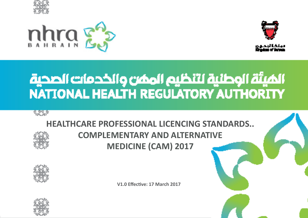





Healthcare Professional Licencing Standards.. Complimentary and Alternative Medicine (CAM) 2017 1

# الغيثة الوطنية لتنظيم المغن والخدمات الصحية NATIONAL HEALTH REGULATORY AUTHORITY



## **HEALTHCARE PROFESSIONAL LICENCING STANDARDS.. COMPLEMENTARY AND ALTERNATIVE MEDICINE (CAM) 2017**



**V1.0 Effective: 17 March 2017**

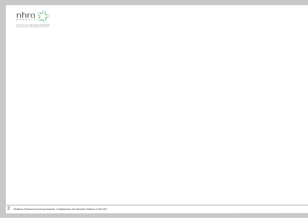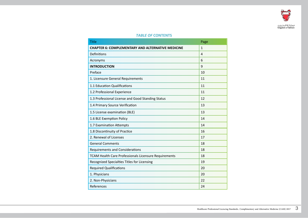

#### *TABLE OF* **CONTENTS**

| Title                                                        | Page           |
|--------------------------------------------------------------|----------------|
| <b>CHAPTER 6: COMPLEMENTARY AND ALTERNATIVE MEDICINE</b>     | $\mathbf{1}$   |
| Definitions                                                  | $\overline{4}$ |
| Acronyms                                                     | 6              |
| <b>INTRODUCTION</b>                                          | 9              |
| Preface                                                      | 10             |
| 1. Licensure General Requirements                            | 11             |
| 1.1 Education Qualifications                                 | 11             |
| 1.2 Professional Experience                                  | 11             |
| 1.3 Professional License and Good Standing Status            | 12             |
| 1.4 Primary Source Verification                              | 13             |
| 1.5 License examination (BLE)                                | 13             |
| 1.6 BLE Exemption Policy                                     | 14             |
| 1.7 Examination Attempts                                     | 14             |
| 1.8 Discontinuity of Practice                                | 16             |
| 2. Renewal of Licenses                                       | 17             |
| <b>General Comments</b>                                      | 18             |
| <b>Requirements and Considerations</b>                       | 18             |
| <b>TCAM Health Care Professionals Licensure Requirements</b> | 18             |
| Recognized Specialties Titles for Licensing                  | 19             |
| <b>Required Qualifications</b>                               | 20             |
| 1. Physicians                                                | 20             |
| 2. Non-Physicians                                            | 22             |
| References                                                   | 24             |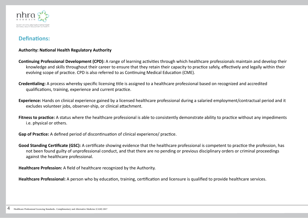

#### **Definations:**

#### **Authority: National Health Regulatory Authority**

- **Continuing Professional Development (CPD):** A range of learning activities through which healthcare professionals maintain and develop their knowledge and skills throughout their career to ensure that they retain their capacity to practice safely, effectively and legally within their evolving scope of practice. CPD is also referred to as Continuing Medical Education (CME).
- **Credentialing:** A process whereby specific licensing title is assigned to a healthcare professional based on recognized and accredited qualifications, training, experience and current practice.
- **Experience:** Hands on clinical experience gained by a licensed healthcare professional during a salaried employment/contractual period and it excludes volunteer jobs, observer-ship, or clinical attachment.
- **Fitness to practice:** A status where the healthcare professional is able to consistently demonstrate ability to practice without any impediments i.e. physical or others.

**Gap of Practice:** A defined period of discontinuation of clinical experience/ practice.

Good Standing Certificate (GSC): A certificate showing evidence that the healthcare professional is competent to practice the profession, has not been found guilty of unprofessional conduct, and that there are no pending or previous disciplinary orders or criminal proceedings against the healthcare professional.

**Healthcare Profession:** A field of healthcare recognized by the Authority.

**Healthcare Professional:** A person who by education, training, certification and licensure is qualified to provide healthcare services.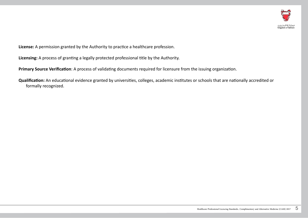

**License:** A permission granted by the Authority to practice a healthcare profession.

**Licensing:** A process of granting a legally protected professional title by the Authority.

**Primary Source Verification**: A process of validating documents required for licensure from the issuing organization.

**Qualification:** An educational evidence granted by universities, colleges, academic institutes or schools that are nationally accredited or formally recognized.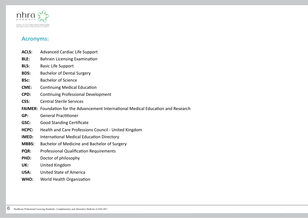

#### **Acronyms:**

- **ACLS:** Advanced Cardiac Life Support
- **BLE:** Bahrain Licensing Examination
- **BLS:** Basic Life Support
- **BDS:** Bachelor of Dental Surgery
- **BSc:** Bachelor of Science
- **CME:** Continuing Medical Education
- **CPD:** Continuing Professional Development
- **CSS:** Central Sterile Services
- **FAIMER:** Foundation for the Advancement International Medical Education and Research
- **GP:** General Practitioner
- **GSC:** Good Standing Certificate
- **HCPC:** Health and Care Professions Council United Kingdom
- **IMED:** International Medical Education Directory
- **MBBS:** Bachelor of Medicine and Bachelor of Surgery
- **PQR:** Professional Qualification Requirements
- **PHD:** Doctor of philosophy
- **UK:** United Kingdom
- **USA:** United State of America
- **WHO:** World Health Organization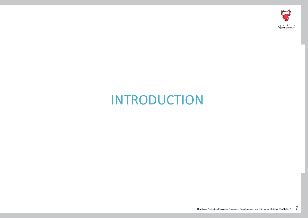

## INTRODUCTION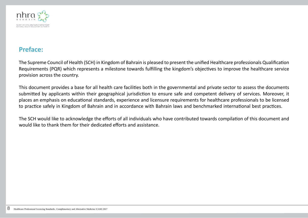

## **Preface:**

The Supreme Council of Health (SCH) in Kingdom of Bahrain is pleased to present the unified Healthcare professionals Qualification Requirements (PQR) which represents a milestone towards fulfilling the kingdom's objectives to improve the healthcare service provision across the country.

This document provides a base for all health care facilities both in the governmental and private sector to assess the documents submitted by applicants within their geographical jurisdiction to ensure safe and competent delivery of services. Moreover, it places an emphasis on educational standards, experience and licensure requirements for healthcare professionals to be licensed to practice safely in Kingdom of Bahrain and in accordance with Bahrain laws and benchmarked international best practices.

The SCH would like to acknowledge the efforts of all individuals who have contributed towards compilation of this document and would like to thank them for their dedicated efforts and assistance.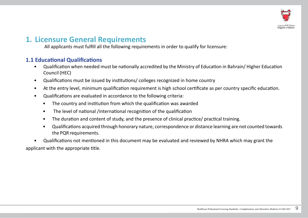

## **11.Licensure General Requirements**

All applicants must fulfill all the following requirements in order to qualify for licensure:

#### **1.1 Educational Qualifications**

- Qualification when needed must be nationally accredited by the Ministry of Education in Bahrain/ Higher Education Council (HEC)
- Qualifications must be issued by institutions/ colleges recognized in home country
- At the entry level, minimum qualification requirement is high school certificate as per country specific education.
- Qualifications are evaluated in accordance to the following criteria:
	- The country and institution from which the qualification was awarded
	- The level of national /international recognition of the qualification
	- The duration and content of study, and the presence of clinical practice/ practical training.
	- Qualifications acquired through honorary nature, correspondence or distance learning are not counted towards the PQR requirements.

• Qualifications not mentioned in this document may be evaluated and reviewed by NHRA which may grant the applicant with the appropriate title.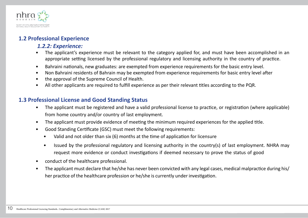

### **1.2 Professional Experience**

#### *1.2.2: Experience:*

- The applicant's experience must be relevant to the category applied for, and must have been accomplished in an appropriate setting licensed by the professional regulatory and licensing authority in the country of practice.
- Bahraini nationals, new graduates: are exempted from experience requirements for the basic entry level.
- Non Bahraini residents of Bahrain may be exempted from experience requirements for basic entry level after
- the approval of the Supreme Council of Health.
- All other applicants are required to fulfill experience as per their relevant titles according to the PQR.

#### **1.3 Professional License and Good Standing Status**

- The applicant must be registered and have a valid professional license to practice, or registration (where applicable) from home country and/or country of last employment.
- The applicant must provide evidence of meeting the minimum required experiences for the applied title.
- Good Standing Certificate (GSC) must meet the following requirements:
	- Valid and not older than six (6) months at the time of application for licensure
	- Issued by the professional regulatory and licensing authority in the country(s) of last employment. NHRA may request more evidence or conduct investigations if deemed necessary to prove the status of good
- conduct of the healthcare professional.
- The applicant must declare that he/she has never been convicted with any legal cases, medical malpractice during his/ her practice of the healthcare profession or he/she is currently under investigation.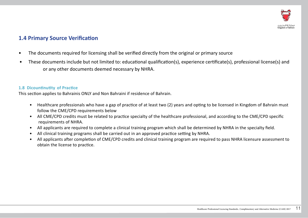

### **1.4 Primary Source Verification**

- The documents required for licensing shall be verified directly from the original or primary source
- These documents include but not limited to: educational qualification(s), experience certificate(s), professional license(s) and or any other documents deemed necessary by NHRA.

#### **1.8 Dicountinutity of Practice**

This section applies to Bahrainis ONLY and Non Bahraini if residence of Bahrain.

- Healthcare professionals who have a gap of practice of at least two (2) years and opting to be licensed in Kingdom of Bahrain must follow the CME/CPD requirements below
- All CME/CPD credits must be related to practice specialty of the healthcare professional, and according to the CME/CPD specific requirements of NHRA.
- All applicants are required to complete a clinical training program which shall be determined by NHRA in the specialty field.
- All clinical training programs shall be carried out in an approved practice setting by NHRA.
- All applicants after completion of CME/CPD credits and clinical training program are required to pass NHRA licensure assessment to obtain the license to practice.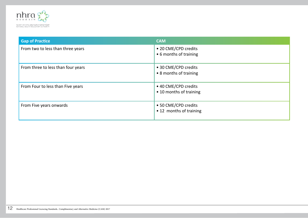

| <b>Gap of Practice</b>             | <b>CAM</b>                                      |
|------------------------------------|-------------------------------------------------|
| From two to less than three years  | • 20 CME/CPD credits<br>• 6 months of training  |
| From three to less than four years | • 30 CME/CPD credits<br>• 8 months of training  |
| From Four to less than Five years  | • 40 CME/CPD credits<br>• 10 months of training |
| From Five years onwards            | • 50 CME/CPD credits<br>• 12 months of training |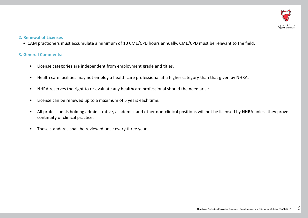

#### **2. Renewal of Licenses**

• CAM practioners must accumulate a minimum of 10 CME/CPD hours annually. CME/CPD must be relevant to the field.

#### **3. General Comments:**

- License categories are independent from employment grade and titles.
- Health care facilities may not employ a health care professional at a higher category than that given by NHRA.
- NHRA reserves the right to re-evaluate any healthcare professional should the need arise.
- License can be renewed up to a maximum of 5 years each time.
- All professionals holding administrative, academic, and other non-clinical positions will not be licensed by NHRA unless they prove continuity of clinical practice.
- These standards shall be reviewed once every three years.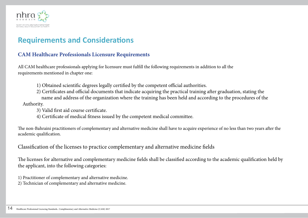

## **Requirements and Considerations**

#### **CAM Healthcare Professionals Licensure Requirements**

All CAM healthcare professionals applying for licensure must fulfill the following requirements in addition to all the requirements mentioned in chapter one:

- 1) Obtained scientific degrees legally certified by the competent official authorities.
- 2) Certificates and official documents that indicate acquiring the practical training after graduation, stating the name and address of the organization where the training has been held and according to the procedures of the

#### Authority.

- 3) Valid first aid course certificate.
- 4) Certificate of medical fitness issued by the competent medical committee.

The non-Bahraini practitioners of complementary and alternative medicine shall have to acquire experience of no less than two years after the academic qualification.

Classification of the licenses to practice complementary and alternative medicine fields

The licenses for alternative and complementary medicine fields shall be classified according to the academic qualification held by the applicant, into the following categories:

- 1) Practitioner of complementary and alternative medicine.
- 2) Technician of complementary and alternative medicine.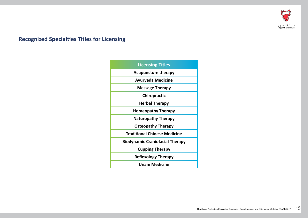

## **Recognized Specialties Titles for Licensing**

| <b>Licensing Titles</b>                |
|----------------------------------------|
| <b>Acupuncture therapy</b>             |
| <b>Ayurveda Medicine</b>               |
| <b>Message Therapy</b>                 |
| Chiropractic                           |
| <b>Herbal Therapy</b>                  |
| <b>Homeopathy Therapy</b>              |
| <b>Naturopathy Therapy</b>             |
| Osteopathy Therapy                     |
| <b>Traditional Chinese Medicine</b>    |
| <b>Biodynamic Craniofacial Therapy</b> |
| <b>Cupping Therapy</b>                 |
| Reflexology Therapy                    |
| Unani Medicine                         |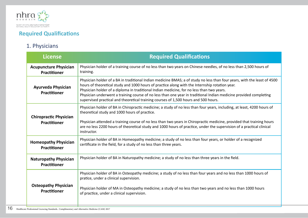

## **Required Qualifications**

### 1. Physicians

| License                                             | <b>Required Qualifications</b>                                                                                                                                                                                                                                                                                                                                                                                                                                                                                                      |
|-----------------------------------------------------|-------------------------------------------------------------------------------------------------------------------------------------------------------------------------------------------------------------------------------------------------------------------------------------------------------------------------------------------------------------------------------------------------------------------------------------------------------------------------------------------------------------------------------------|
| <b>Acupuncture Physician</b><br><b>Practitioner</b> | Physician holder of a training course of no less than two years on Chinese needles, of no less than 2,500 hours of<br>training.                                                                                                                                                                                                                                                                                                                                                                                                     |
| Ayurveda Physician<br>Practitioner                  | Physician holder of a BA in traditional Indian medicine BMAS; a of study no less than four years, with the least of 4500<br>hours of theoretical study and 1000 hours of practice along with the Internship rotation year.<br>Physician holder of a diploma in traditional Indian medicine, for no less than two years.<br>Physician underwent a training course of no less than one year in traditional Indian medicine provided completing<br>supervised practical and theoretical training courses of 1,500 hours and 500 hours. |
| <b>Chiropractic Physician</b><br>Practitioner       | Physician holder of BA in Chiropractic medicine; a study of no less than four years, including, at least, 4200 hours of<br>theoretical study and 1000 hours of practice.<br>Physician attended a training course of no less than two years in Chiropractic medicine, provided that training hours<br>are no less 2200 hours of theoretical study and 1000 hours of practice, under the supervision of a practical clinical<br>instructor.                                                                                           |
| <b>Homeopathy Physician</b><br><b>Practitioner</b>  | Physician holder of BA in Homeopathy medicine; a study of no less than four years, or holder of a recognized<br>certificate in the field, for a study of no less than three years.                                                                                                                                                                                                                                                                                                                                                  |
| <b>Naturopathy Physician</b><br><b>Practitioner</b> | Physician holder of BA in Naturopathy medicine; a study of no less than three years in the field.                                                                                                                                                                                                                                                                                                                                                                                                                                   |
| <b>Osteopathy Physician</b><br>Practitioner         | Physician holder of BA in Osteopathy medicine; a study of no less than four years and no less than 1000 hours of<br>pratice, under a clinical supervision.<br>Physician holder of MA in Osteopathy medicine; a study of no less than two years and no less than 1000 hours<br>of practice, under a clinical supervision.                                                                                                                                                                                                            |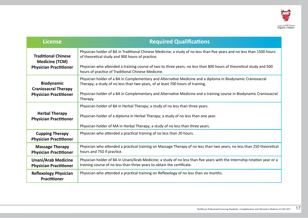

| <b>License</b>                                                                    | <b>Required Qualifications</b>                                                                                                                                                                     |
|-----------------------------------------------------------------------------------|----------------------------------------------------------------------------------------------------------------------------------------------------------------------------------------------------|
| <b>Traditional Chinese</b><br>Medicine (TCM)<br><b>Physician Practitioner</b>     | Physician holder of BA in Traditional Chinese Medicine; a study of no less than five years and no less than 1500 hours<br>of theoretical study and 900 hours of practice.                          |
|                                                                                   | Physician who attended a training course of two to three years; no less than 800 hours of theoretical study and 500<br>hours of practice of Traditional Chinese Medicine.                          |
| <b>Biodynamic</b><br><b>Craniosacral Therapy</b><br><b>Physician Practitioner</b> | Physician holder of a BA in Complementary and Alternative Medicine and a diploma in Biodynamic Craniosacral<br>Therapy; a study of no less than two years, of at least 700 hours of training.      |
|                                                                                   | Physician holder of a BA in Complementary and Alternative Medicine and a training course in Biodynamic Craniosacral<br>Therapy.                                                                    |
|                                                                                   | Physician holder of BA in Herbal Therapy; a study of no less than three years.                                                                                                                     |
| <b>Herbal Therapy</b><br><b>Physician Practitioner</b>                            | Physician holder of a diploma in Herbal Therapy; a study of no less than one year.                                                                                                                 |
|                                                                                   | Physician holder of MA in Herbal Therapy; a study of no less than three years.                                                                                                                     |
| <b>Cupping Therapy</b><br><b>Physician Practitioner</b>                           | Physician who attended a practical training of no less than 20 hours.                                                                                                                              |
| <b>Massage Therapy</b><br><b>Physician Practitioner</b>                           | Physician who attended a practical training on Massage Therapy of no less than two years; no less than 250 theoretical<br>hours and 750 if practice.                                               |
| <b>Unani/Arab Medicine</b><br><b>Physician Practitioner</b>                       | Physician holder of BA in Unani/Arab Medicine; a study of no less than five years with the Internship rotation year or a<br>training course of no less than three years to obtain the certificate. |
| <b>Reflexology Physician</b><br>Practitioner                                      | Physician who attended a practical training on Reflexology of no less than six months.                                                                                                             |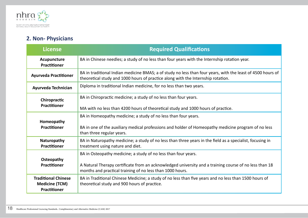

### **2. Non- Physicians**

| <b>License</b>                                                             | <b>Required Qualifications</b>                                                                                                                                                                                                        |
|----------------------------------------------------------------------------|---------------------------------------------------------------------------------------------------------------------------------------------------------------------------------------------------------------------------------------|
| Acupuncture<br>Practitioner                                                | BA in Chinese needles; a study of no less than four years with the Internship rotation year.                                                                                                                                          |
| <b>Ayurveda Practitioner</b>                                               | BA in traditional Indian medicine BMAS; a of study no less than four years, with the least of 4500 hours of<br>theoretical study and 1000 hours of practice along with the Internship rotation.                                       |
| Ayurveda Technician                                                        | Diploma in traditional Indian medicine, for no less than two years.                                                                                                                                                                   |
| Chiropractic<br>Practitioner                                               | BA in Chiropractic medicine; a study of no less than four years.<br>MA with no less than 4200 hours of theoretical study and 1000 hours of practice.                                                                                  |
| Homeopathy<br><b>Practitioner</b>                                          | BA in Homeopathy medicine; a study of no less than four years.<br>BA in one of the auxiliary medical professions and holder of Homeopathy medicine program of no less<br>than three regular years.                                    |
| Naturopathy<br><b>Practitioner</b>                                         | BA in Naturopathy medicine; a study of no less than three years in the field as a specialist, focusing in<br>treatment using nature and diet.                                                                                         |
| Osteopathy<br><b>Practitioner</b>                                          | BA in Osteopathy medicine; a study of no less than four years.<br>A Natural Therapy certificate from an acknowledged university and a training course of no less than 18<br>months and practical training of no less than 1000 hours. |
| <b>Traditional Chinese</b><br><b>Medicine (TCM)</b><br><b>Practitioner</b> | BA in Traditional Chinese Medicine; a study of no less than five years and no less than 1500 hours of<br>theoretical study and 900 hours of practice.                                                                                 |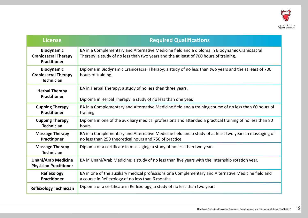

| License                                                               | <b>Required Qualifications</b>                                                                                                                                                         |
|-----------------------------------------------------------------------|----------------------------------------------------------------------------------------------------------------------------------------------------------------------------------------|
| <b>Biodynamic</b><br><b>Craniosacral Therapy</b><br>Practitioner      | BA in a Complementary and Alternative Medicine field and a diploma in Biodynamic Craniosacral<br>Therapy; a study of no less than two years and the at least of 700 hours of training. |
| <b>Biodynamic</b><br><b>Craniosacral Therapy</b><br><b>Technician</b> | Diploma in Biodynamic Craniosacral Therapy; a study of no less than two years and the at least of 700<br>hours of training.                                                            |
| <b>Herbal Therapy</b><br>Practitioner                                 | BA in Herbal Therapy; a study of no less than three years.<br>Diploma in Herbal Therapy; a study of no less than one year.                                                             |
| <b>Cupping Therapy</b><br><b>Practitioner</b>                         | BA in a Complementary and Alternative Medicine field and a training course of no less than 60 hours of<br>training.                                                                    |
| <b>Cupping Therapy</b><br><b>Technician</b>                           | Diploma in one of the auxiliary medical professions and attended a practical training of no less than 80<br>hours.                                                                     |
| <b>Massage Therapy</b><br>Practitioner                                | BA in a Complementary and Alternative Medicine field and a study of at least two years in massaging of<br>no less than 250 theoretical hours and 750 of practice.                      |
| <b>Massage Therapy</b><br><b>Technician</b>                           | Diploma or a certificate in massaging; a study of no less than two years.                                                                                                              |
| <b>Unani/Arab Medicine</b><br><b>Physician Practitioner</b>           | BA in Unani/Arab Medicine; a study of no less than five years with the Internship rotation year.                                                                                       |
| Reflexology<br>Practitioner                                           | BA in one of the auxiliary medical professions or a Complementary and Alternative Medicine field and<br>a course in Reflexology of no less than 6 months.                              |
| Reflexology Technician                                                | Diploma or a certificate in Reflexology; a study of no less than two years                                                                                                             |